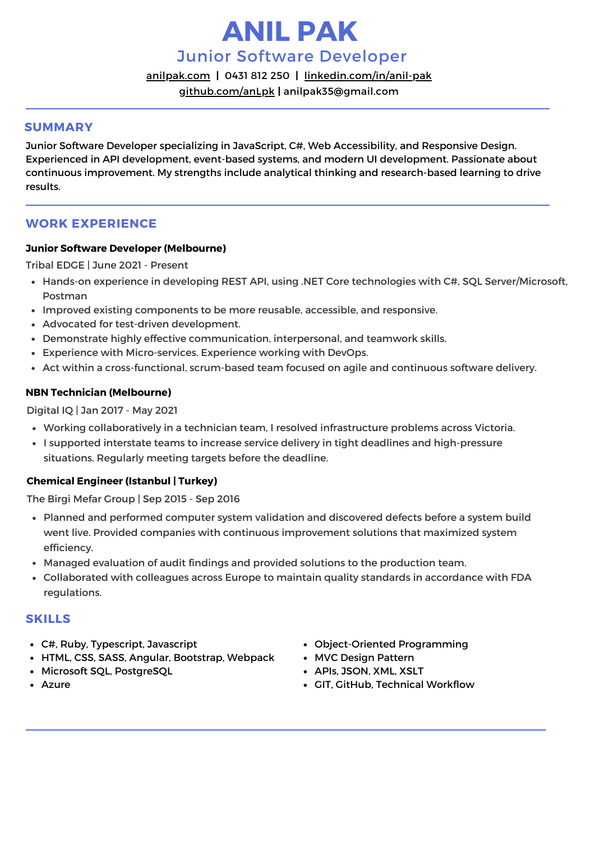# **ANIL PAK**

Junior Software Developer

[anilpak.com](https://anilpak.com/) **[|](https://anilpak.com/)** [0431](https://anilpak.com/) 812 250 **[|](https://anilpak.com/)** [linkedin.com/in/anil-pak](https://www.linkedin.com/in/anil-pak/)

[github.com/anLpk](https://github.com/anLpk) **[|](https://anilpak.com/)** [anilpak35@gmail.com](https://anilpak.com/)

## **SUMMARY**

Junior Software Developer specializing in JavaScript, C#, Web Accessibility, and Responsive Design. Experienced in API development, event-based systems, and modern UI development. Passionate about continuous improvement. My strengths include analytical thinking and research-based learning to drive results.

# **WORK EXPERIENCE**

## **Junior Software Developer (Melbourne)**

Tribal EDGE | June 2021 - Present

- Hands-on experience in developing REST API, using .NET Core technologies with C#, SQL Server/Microsoft, Postman
- Improved existing components to be more reusable, accessible, and responsive.
- Advocated for test-driven development.
- Demonstrate highly effective communication, interpersonal, and teamwork skills.
- Experience with Micro-services. Experience working with DevOps.
- Act within a cross-functional, scrum-based team focused on agile and continuous software delivery.

## **NBN Technician (Melbourne)**

## Digital IQ | Jan 2017 - May 2021

- Working collaboratively in a technician team, I resolved infrastructure problems across Victoria.
- I supported interstate teams to increase service delivery in tight deadlines and high-pressure situations. Regularly meeting targets before the deadline.

## **Chemical Engineer (Istanbul | Turkey)**

The Birgi Mefar Group | Sep 2015 - Sep 2016

- Planned and performed computer system validation and discovered defects before a system build went live. Provided companies with continuous improvement solutions that maximized system efficiency.
- Managed evaluation of audit findings and provided solutions to the production team.
- Collaborated with colleagues across Europe to maintain quality standards in accordance with FDA regulations.

## **SKILLS**

- C#, Ruby, Typescript, Javascript
- HTML, CSS, SASS, Angular, Bootstrap, Webpack
- Microsoft SQL, PostgreSQL
- Azure
- Object-Oriented Programming
- MVC Design Pattern
- APIs, JSON, XML, XSLT
- GIT, GitHub, Technical Workflow